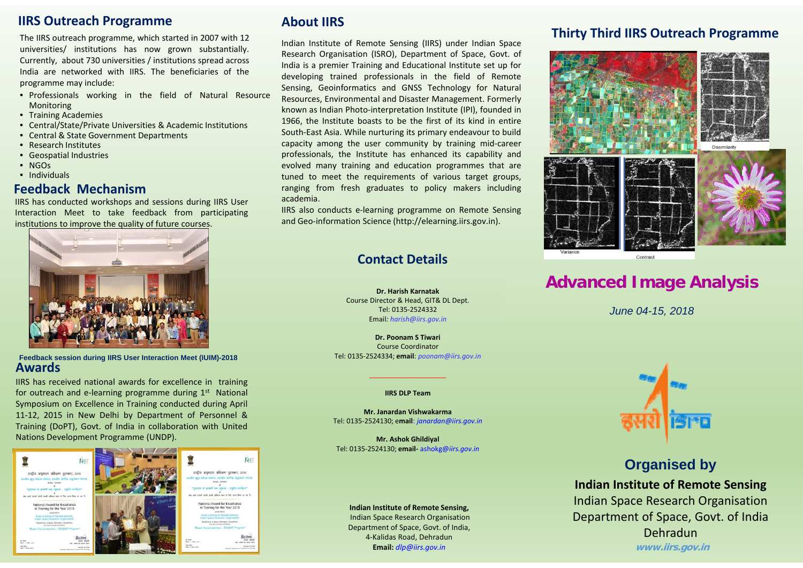#### **IIRS Outreach Programme**

The IIRS outreach programme, which started in 2007 with 12 universities/ institutions has now grown substantially. Currently, about 730 universities / institutions spread across India are networked with IIRS. The beneficiaries of theprogramme may include:

- Professionals working in the field of Natural Resource Monitoring
- Training Academies
- Central/State/Private Universities & Academic Institutions
- Central & State Government Departments
- Research Institutes
- Geospatial Industries
- NGOs
- Individuals

#### **Feedback Mechanism**

IIRS has conducted workshops and sessions during IIRS User Interaction Meet to take feedback from participating institutions to improve the quality of future courses.



**Feedback session during IIRS User Interaction Meet (IUIM)-2018 Awards**

IIRS has received national awards for excellence in training for outreach and e-learning programme during  $1<sup>st</sup>$  National Symposium on Excellence in Training conducted during April 11-12, 2015 in New Delhi by Department of Personnel & Training (DoPT), Govt. of India in collaboration with United Nations Development Programme (UNDP).



### **About IIRS**

Indian Institute of Remote Sensing (IIRS) under Indian Space Research Organisation (ISRO), Department of Space, Govt. of India is <sup>a</sup> premier Training and Educational Institute set up for developing trained professionals in the field of Remote Sensing, Geoinformatics and GNSS Technology for Natural Resources, Environmental and Disaster Management. Formerly known as Indian Photo-interpretation Institute (IPI), founded in 1966, the Institute boasts to be the first of its kind in entire South-East Asia. While nurturing its primary endeavour to build capacity among the user community by training mid-career professionals, the Institute has enhanced its capability and evolved many training and education programmes that are tuned to meet the requirements of various target groups, ranging from fresh graduates to policy makers including academia.

IIRS also conducts e-learning programme on Remote Sensing and Geo-information Science (http://elearning.iirs.gov.in).

### **Contact Details**

**Dr. Harish Karnatak**Course Director & Head, GIT& DL Dept. Tel: 0135-2524332 Email*: harish@iirs.gov.in*

**Dr. Poonam S Tiwari**Course Coordinator Tel: 0135-2524334; **email**: *poonam@iirs.gov.in*

#### **IIRS DLP Team**

**Mr. Janardan Vishwakarma**Tel: 0135-2524130; e**mail**: *janardan@iirs.gov.in*

**Mr. Ashok Ghildiyal** Tel: 0135-2524130; **email-** ashokg@*iirs.gov.in*

**Indian Institute of Remote Sensing,** Indian Space Research Organisation Department of Space, Govt. of India, 4-Kalidas Road, Dehradun **Email:** *dlp@iirs.gov.in*

### **Thirty Third IIRS Outreach Programme**



## **Advanced Image Analysis**

*June 04-15, 2018*



## **Organised by Indian Institute of Remote Sensing** Indian Space Research Organisation Department of Space, Govt. of India Dehradun**www.iirs.gov.in**